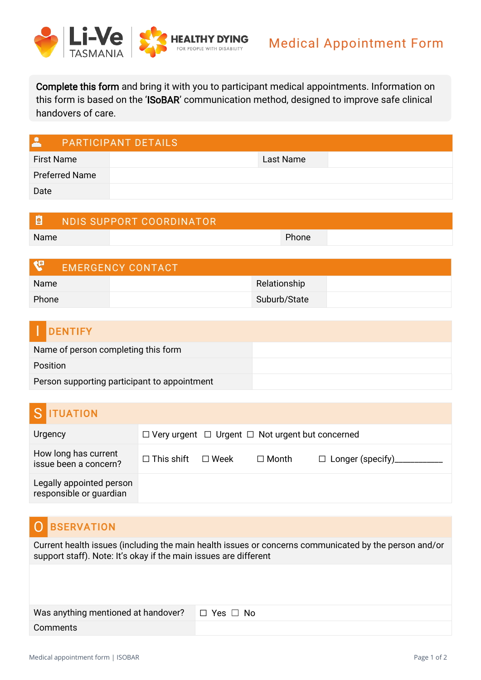

Complete this form and bring it with you to participant medical appointments. Information on this form is based on the 'ISoBAR' communication method, designed to improve safe clinical handovers of care.

| $\mathbf{A}$          | <b>PARTICIPANT DETAILS</b> |
|-----------------------|----------------------------|
| <b>First Name</b>     | Last Name                  |
| <b>Preferred Name</b> |                            |
| Date                  |                            |

| I₫   | NDIS SUPPORT COORDINATOR |       |  |
|------|--------------------------|-------|--|
| Name |                          | Phone |  |

| <b>EMERGENCY CONTACT</b> |              |  |
|--------------------------|--------------|--|
| Name                     | Relationship |  |
| Phone                    | Suburb/State |  |

| <b>DENTIFY</b>                               |  |
|----------------------------------------------|--|
| Name of person completing this form          |  |
| <b>Position</b>                              |  |
| Person supporting participant to appointment |  |

# S **ITUATION**

| Urgency                                             | $\Box$ Very urgent $\Box$ Urgent $\Box$ Not urgent but concerned |  |              |  |
|-----------------------------------------------------|------------------------------------------------------------------|--|--------------|--|
| How long has current<br>issue been a concern?       | $\Box$ This shift $\Box$ Week                                    |  | $\Box$ Month |  |
| Legally appointed person<br>responsible or guardian |                                                                  |  |              |  |

## O BSERVATION

Current health issues (including the main health issues or concerns communicated by the person and/or support staff). Note: It's okay if the main issues are different

| Was anything mentioned at handover? $\Box$ Yes $\Box$ No |  |
|----------------------------------------------------------|--|
| Comments                                                 |  |